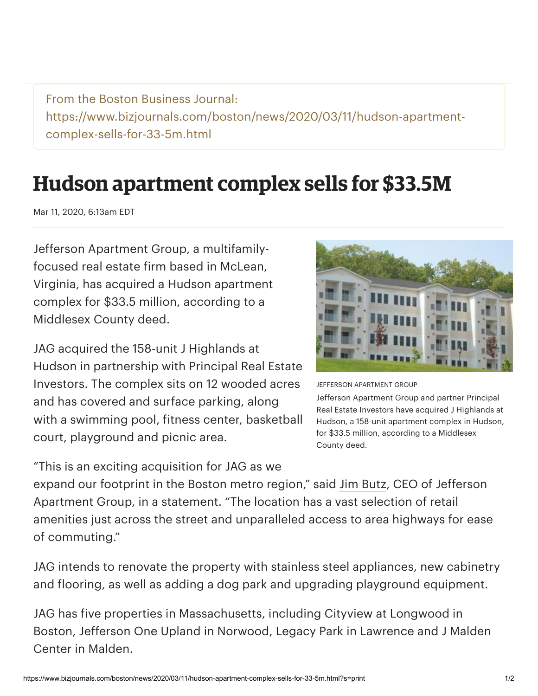From the Boston Business Journal: https://www.bizjournals.com/boston/news/2020/03/11/hudson-apartmentcomplex-sells-for-33-5m.html

## **Hudson apartment complex sells for \$33.5M**

Mar 11, 2020, 6:13am EDT

Jefferson Apartment Group, a multifamilyfocused real estate firm based in McLean, Virginia, has acquired a Hudson apartment complex for \$33.5 million, according to a Middlesex County deed.

JAG acquired the 158-unit J Highlands at Hudson in partnership with Principal Real Estate Investors. The complex sits on 12 wooded acres and has covered and surface parking, along with a swimming pool, fitness center, basketball court, playground and picnic area.

"This is an exciting acquisition for JAG as we



JEFFERSON APARTMENT GROUP

Jefferson Apartment Group and partner Principal Real Estate Investors have acquired J Highlands at Hudson, a 158-unit apartment complex in Hudson, for \$33.5 million, according to a Middlesex County deed.

expand our footprint in the Boston metro region," said Jim [Butz,](https://www.bizjournals.com/boston/search/results?q=Jim%20Butz) CEO of Jefferson Apartment Group, in a statement. "The location has a vast selection of retail amenities just across the street and unparalleled access to area highways for ease of commuting."

JAG intends to renovate the property with stainless steel appliances, new cabinetry and flooring, as well as adding a dog park and upgrading playground equipment.

JAG has five properties in Massachusetts, including Cityview at Longwood in Boston, Jefferson One Upland in Norwood, Legacy Park in Lawrence and J Malden Center in Malden.